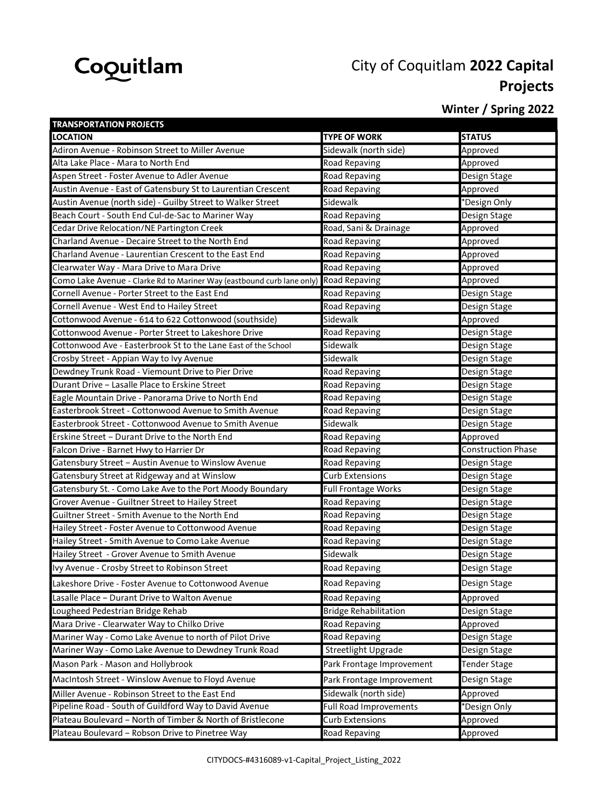

## City of Coquitlam 2022 Capital Projects

## Winter / Spring 2022

| <b>TRANSPORTATION PROJECTS</b>                                                       |                               |                           |
|--------------------------------------------------------------------------------------|-------------------------------|---------------------------|
| <b>LOCATION</b>                                                                      | <b>TYPE OF WORK</b>           | <b>STATUS</b>             |
| Adiron Avenue - Robinson Street to Miller Avenue                                     | Sidewalk (north side)         | Approved                  |
| Alta Lake Place - Mara to North End                                                  | Road Repaving                 | Approved                  |
| Aspen Street - Foster Avenue to Adler Avenue                                         | Road Repaving                 | Design Stage              |
| Austin Avenue - East of Gatensbury St to Laurentian Crescent                         | Road Repaving                 | Approved                  |
| Austin Avenue (north side) - Guilby Street to Walker Street                          | Sidewalk                      | *Design Only              |
| Beach Court - South End Cul-de-Sac to Mariner Way                                    | Road Repaving                 | Design Stage              |
| Cedar Drive Relocation/NE Partington Creek                                           | Road, Sani & Drainage         | Approved                  |
| Charland Avenue - Decaire Street to the North End                                    | Road Repaving                 | Approved                  |
| Charland Avenue - Laurentian Crescent to the East End                                | <b>Road Repaving</b>          | Approved                  |
| Clearwater Way - Mara Drive to Mara Drive                                            | Road Repaving                 | Approved                  |
| Como Lake Avenue - Clarke Rd to Mariner Way (eastbound curb lane only) Road Repaving |                               | Approved                  |
| Cornell Avenue - Porter Street to the East End                                       | Road Repaving                 | Design Stage              |
| Cornell Avenue - West End to Hailey Street                                           | Road Repaving                 | Design Stage              |
| Cottonwood Avenue - 614 to 622 Cottonwood (southside)                                | Sidewalk                      | Approved                  |
| Cottonwood Avenue - Porter Street to Lakeshore Drive                                 | Road Repaving                 | Design Stage              |
| Cottonwood Ave - Easterbrook St to the Lane East of the School                       | Sidewalk                      | Design Stage              |
| Crosby Street - Appian Way to Ivy Avenue                                             | Sidewalk                      | Design Stage              |
| Dewdney Trunk Road - Viemount Drive to Pier Drive                                    | Road Repaving                 | Design Stage              |
| Durant Drive - Lasalle Place to Erskine Street                                       | Road Repaving                 | Design Stage              |
| Eagle Mountain Drive - Panorama Drive to North End                                   | Road Repaving                 | Design Stage              |
| Easterbrook Street - Cottonwood Avenue to Smith Avenue                               | Road Repaving                 | Design Stage              |
| Easterbrook Street - Cottonwood Avenue to Smith Avenue                               | Sidewalk                      | Design Stage              |
| Erskine Street - Durant Drive to the North End                                       | <b>Road Repaving</b>          | Approved                  |
| Falcon Drive - Barnet Hwy to Harrier Dr                                              | Road Repaving                 | <b>Construction Phase</b> |
| Gatensbury Street - Austin Avenue to Winslow Avenue                                  | Road Repaving                 | Design Stage              |
| Gatensbury Street at Ridgeway and at Winslow                                         | <b>Curb Extensions</b>        | Design Stage              |
| Gatensbury St. - Como Lake Ave to the Port Moody Boundary                            | Full Frontage Works           | Design Stage              |
| Grover Avenue - Guiltner Street to Hailey Street                                     | Road Repaving                 | Design Stage              |
| Guiltner Street - Smith Avenue to the North End                                      | Road Repaving                 | Design Stage              |
| Hailey Street - Foster Avenue to Cottonwood Avenue                                   | Road Repaving                 | Design Stage              |
| Hailey Street - Smith Avenue to Como Lake Avenue                                     | Road Repaving                 | Design Stage              |
| Hailey Street - Grover Avenue to Smith Avenue                                        | Sidewalk                      | Design Stage              |
| Ivy Avenue - Crosby Street to Robinson Street                                        | Road Repaving                 | Design Stage              |
| Lakeshore Drive - Foster Avenue to Cottonwood Avenue                                 | Road Repaving                 | Design Stage              |
| Lasalle Place - Durant Drive to Walton Avenue                                        | Road Repaving                 | Approved                  |
| Lougheed Pedestrian Bridge Rehab                                                     | <b>Bridge Rehabilitation</b>  | Design Stage              |
| Mara Drive - Clearwater Way to Chilko Drive                                          | Road Repaving                 | Approved                  |
| Mariner Way - Como Lake Avenue to north of Pilot Drive                               | <b>Road Repaving</b>          | Design Stage              |
| Mariner Way - Como Lake Avenue to Dewdney Trunk Road                                 | <b>Streetlight Upgrade</b>    | Design Stage              |
| Mason Park - Mason and Hollybrook                                                    | Park Frontage Improvement     | Tender Stage              |
| MacIntosh Street - Winslow Avenue to Floyd Avenue                                    | Park Frontage Improvement     | Design Stage              |
| Miller Avenue - Robinson Street to the East End                                      | Sidewalk (north side)         | Approved                  |
| Pipeline Road - South of Guildford Way to David Avenue                               | <b>Full Road Improvements</b> | *Design Only              |
| Plateau Boulevard - North of Timber & North of Bristlecone                           | <b>Curb Extensions</b>        | Approved                  |
| Plateau Boulevard - Robson Drive to Pinetree Way                                     | Road Repaving                 | Approved                  |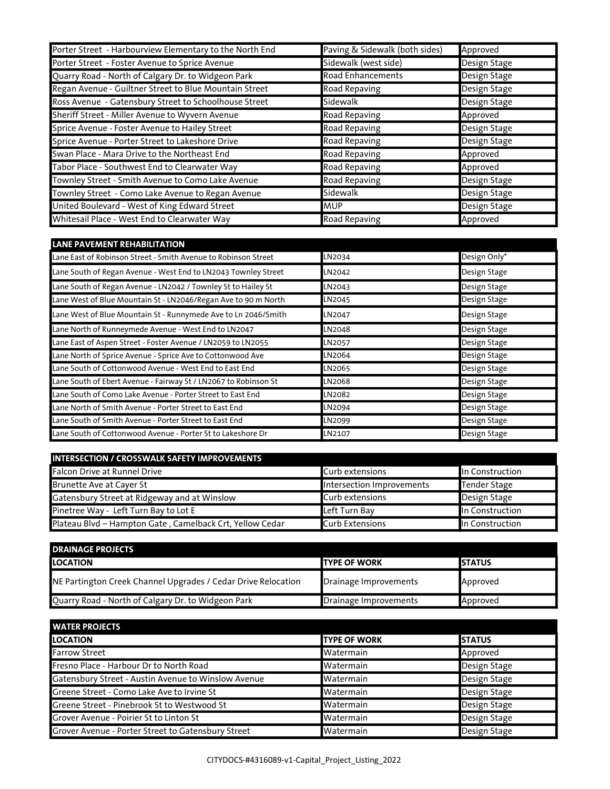| Porter Street - Harbourview Elementary to the North End | Paving & Sidewalk (both sides) | Approved     |
|---------------------------------------------------------|--------------------------------|--------------|
| Porter Street - Foster Avenue to Sprice Avenue          | Sidewalk (west side)           | Design Stage |
| Quarry Road - North of Calgary Dr. to Widgeon Park      | <b>Road Enhancements</b>       | Design Stage |
| Regan Avenue - Guiltner Street to Blue Mountain Street  | Road Repaving                  | Design Stage |
| Ross Avenue - Gatensbury Street to Schoolhouse Street   | Sidewalk                       | Design Stage |
| Sheriff Street - Miller Avenue to Wyvern Avenue         | <b>Road Repaving</b>           | Approved     |
| Sprice Avenue - Foster Avenue to Hailey Street          | Road Repaving                  | Design Stage |
| Sprice Avenue - Porter Street to Lakeshore Drive        | Road Repaving                  | Design Stage |
| Swan Place - Mara Drive to the Northeast End            | Road Repaving                  | Approved     |
| Tabor Place - Southwest End to Clearwater Way           | Road Repaving                  | Approved     |
| Townley Street - Smith Avenue to Como Lake Avenue       | Road Repaving                  | Design Stage |
| Townley Street - Como Lake Avenue to Regan Avenue       | Sidewalk                       | Design Stage |
| United Boulevard - West of King Edward Street           | <b>MUP</b>                     | Design Stage |
| Whitesail Place - West End to Clearwater Way            | Road Repaving                  | Approved     |

| <b>LANE PAVEMENT REHABILITATION</b>                             |        |              |
|-----------------------------------------------------------------|--------|--------------|
| Lane East of Robinson Street - Smith Avenue to Robinson Street  | LN2034 | Design Only* |
| Lane South of Regan Avenue - West End to LN2043 Townley Street  | LN2042 | Design Stage |
| Lane South of Regan Avenue - LN2042 / Townley St to Hailey St   | LN2043 | Design Stage |
| Lane West of Blue Mountain St - LN2046/Regan Ave to 90 m North  | LN2045 | Design Stage |
| Lane West of Blue Mountain St - Runnymede Ave to Ln 2046/Smith  | LN2047 | Design Stage |
| Lane North of Runneymede Avenue - West End to LN2047            | LN2048 | Design Stage |
| Lane East of Aspen Street - Foster Avenue / LN2059 to LN2055    | LN2057 | Design Stage |
| Lane North of Sprice Avenue - Sprice Ave to Cottonwood Ave      | LN2064 | Design Stage |
| Lane South of Cottonwood Avenue - West End to East End          | LN2065 | Design Stage |
| Lane South of Ebert Avenue - Fairway St / LN2067 to Robinson St | LN2068 | Design Stage |
| Lane South of Como Lake Avenue - Porter Street to East End      | LN2082 | Design Stage |
| Lane North of Smith Avenue - Porter Street to East End          | LN2094 | Design Stage |
| Lane South of Smith Avenue - Porter Street to East End          | LN2099 | Design Stage |
| Lane South of Cottonwood Avenue - Porter St to Lakeshore Dr     | LN2107 | Design Stage |

| <b>INTERSECTION / CROSSWALK SAFETY IMPROVEMENTS</b>      |                           |                     |
|----------------------------------------------------------|---------------------------|---------------------|
| Falcon Drive at Runnel Drive                             | Curb extensions           | In Construction     |
| Brunette Ave at Cayer St                                 | Intersection Improvements | <b>Tender Stage</b> |
| Gatensbury Street at Ridgeway and at Winslow             | Curb extensions           | Design Stage        |
| Pinetree Way - Left Turn Bay to Lot E                    | Left Turn Bay             | In Construction     |
| Plateau Blvd - Hampton Gate, Camelback Crt, Yellow Cedar | <b>Curb Extensions</b>    | In Construction     |

| <b>DRAINAGE PROJECTS</b>                                      |                       |                |
|---------------------------------------------------------------|-----------------------|----------------|
| <b>ILOCATION</b>                                              | <b>ITYPE OF WORK</b>  | <b>ISTATUS</b> |
| NE Partington Creek Channel Upgrades / Cedar Drive Relocation | Drainage Improvements | Approved       |
| Quarry Road - North of Calgary Dr. to Widgeon Park            | Drainage Improvements | Approved       |

| <b>UNATER PROJECTS</b>                              |                      |               |
|-----------------------------------------------------|----------------------|---------------|
| <b>ILOCATION</b>                                    | <b>ITYPE OF WORK</b> | <b>STATUS</b> |
| <b>Farrow Street</b>                                | <b>I</b> Watermain   | Approved      |
| Fresno Place - Harbour Dr to North Road             | <b>Watermain</b>     | Design Stage  |
| Gatensbury Street - Austin Avenue to Winslow Avenue | <b>I</b> Watermain   | Design Stage  |
| Greene Street - Como Lake Ave to Irvine St          | <b>I</b> Watermain   | Design Stage  |
| Greene Street - Pinebrook St to Westwood St         | Watermain            | Design Stage  |
| Grover Avenue - Poirier St to Linton St             | Watermain            | Design Stage  |
| Grover Avenue - Porter Street to Gatensbury Street  | <b>I</b> Watermain   | Design Stage  |